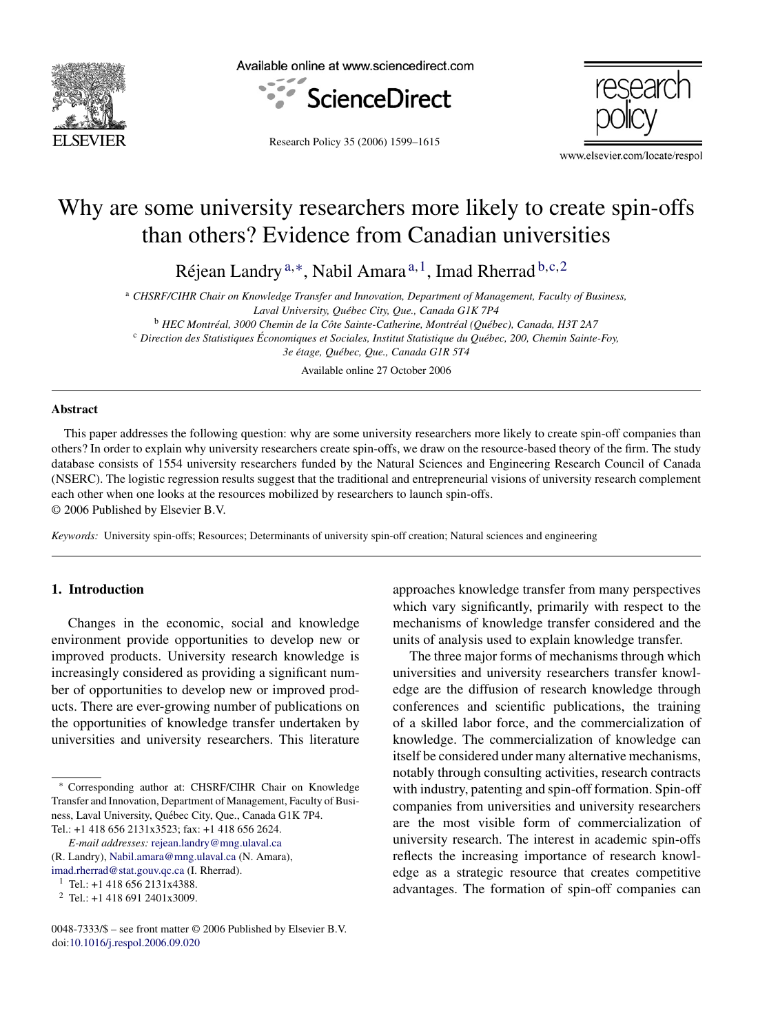

Available online at www.sciencedirect.com



Research Policy 35 (2006) 1599–1615

www.elsevier.com/locate/respol

## Why are some university researchers more likely to create spin-offs than others? Evidence from Canadian universities

Réjean Landry<sup>a,∗</sup>, Nabil Amara<sup>a,1</sup>, Imad Rherrad  $b,c,2$ 

<sup>a</sup> *CHSRF/CIHR Chair on Knowledge Transfer and Innovation, Department of Management, Faculty of Business, Laval University, Qu´ebec City, Que., Canada G1K 7P4* <sup>b</sup> HEC Montréal, 3000 Chemin de la Côte Sainte-Catherine, Montréal (Québec), Canada, H3T 2A7

<sup>c</sup> *Direction des Statistiques Economiques et Sociales, Institut Statistique du Qu´ ´ ebec, 200, Chemin Sainte-Foy,*

3e étage, Québec, Que., Canada G1R 5T4

Available online 27 October 2006

### **Abstract**

This paper addresses the following question: why are some university researchers more likely to create spin-off companies than others? In order to explain why university researchers create spin-offs, we draw on the resource-based theory of the firm. The study database consists of 1554 university researchers funded by the Natural Sciences and Engineering Research Council of Canada (NSERC). The logistic regression results suggest that the traditional and entrepreneurial visions of university research complement each other when one looks at the resources mobilized by researchers to launch spin-offs. © 2006 Published by Elsevier B.V.

*Keywords:* University spin-offs; Resources; Determinants of university spin-off creation; Natural sciences and engineering

## **1. Introduction**

Changes in the economic, social and knowledge environment provide opportunities to develop new or improved products. University research knowledge is increasingly considered as providing a significant number of opportunities to develop new or improved products. There are ever-growing number of publications on the opportunities of knowledge transfer undertaken by universities and university researchers. This literature

*E-mail addresses:* [rejean.landry@mng.ulaval.ca](mailto:rejean.landry@mng.ulaval.ca)

approaches knowledge transfer from many perspectives which vary significantly, primarily with respect to the mechanisms of knowledge transfer considered and the units of analysis used to explain knowledge transfer.

The three major forms of mechanisms through which universities and university researchers transfer knowledge are the diffusion of research knowledge through conferences and scientific publications, the training of a skilled labor force, and the commercialization of knowledge. The commercialization of knowledge can itself be considered under many alternative mechanisms, notably through consulting activities, research contracts with industry, patenting and spin-off formation. Spin-off companies from universities and university researchers are the most visible form of commercialization of university research. The interest in academic spin-offs reflects the increasing importance of research knowledge as a strategic resource that creates competitive advantages. The formation of spin-off companies can

<sup>∗</sup> Corresponding author at: CHSRF/CIHR Chair on Knowledge Transfer and Innovation, Department of Management, Faculty of Business, Laval University, Québec City, Que., Canada G1K 7P4. Tel.: +1 418 656 2131x3523; fax: +1 418 656 2624.

<sup>(</sup>R. Landry), [Nabil.amara@mng.ulaval.ca](mailto:Nabil.amara@mng.ulaval.ca) (N. Amara), [imad.rherrad@stat.gouv.qc.ca](mailto:imad.rherrad@stat.gouv.qc.ca) (I. Rherrad).

 $1$  Tel.: +1 418 656 2131x4388.

<sup>2</sup> Tel.: +1 418 691 2401x3009.

<sup>0048-7333/\$ –</sup> see front matter © 2006 Published by Elsevier B.V. doi:[10.1016/j.respol.2006.09.020](dx.doi.org/10.1016/j.respol.2006.09.020)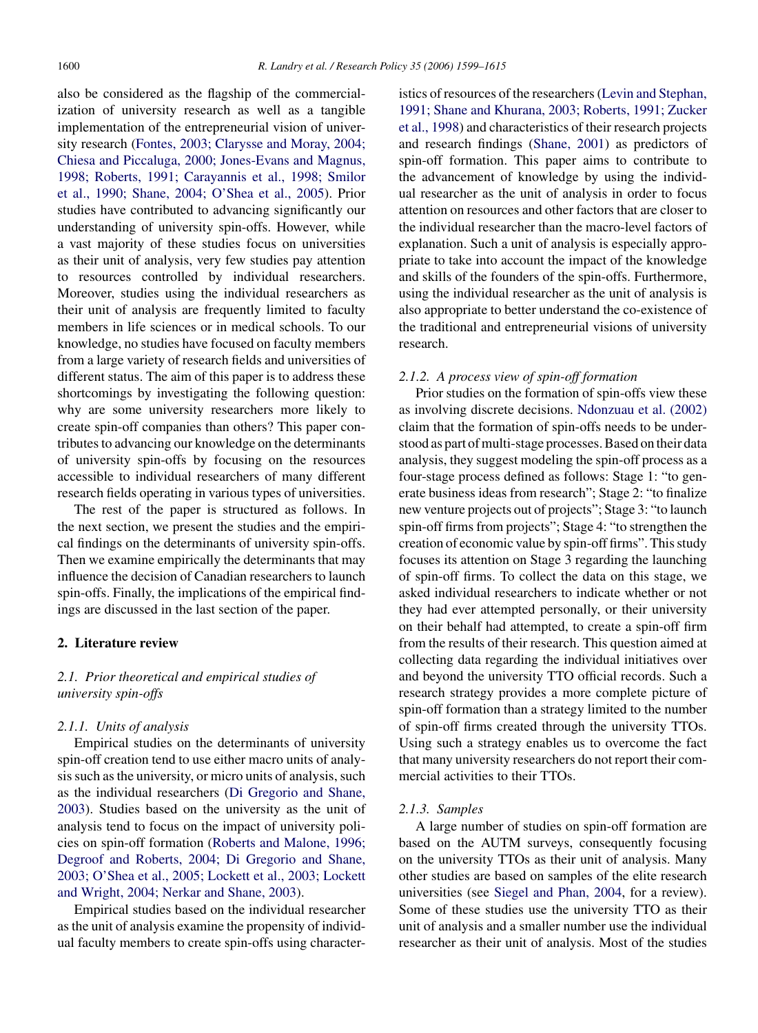also be considered as the flagship of the commercialization of university research as well as a tangible implementation of the entrepreneurial vision of university research ([Fontes, 2003; Clarysse and Moray, 2004;](#page--1-0) [Chiesa and Piccaluga, 2000; Jones-Evans and Magnus,](#page--1-0) [1998; Roberts, 1991; Carayannis et al., 1998; Smilor](#page--1-0) [et al., 1990; Shane, 2004; O'Shea et al., 2005\).](#page--1-0) Prior studies have contributed to advancing significantly our understanding of university spin-offs. However, while a vast majority of these studies focus on universities as their unit of analysis, very few studies pay attention to resources controlled by individual researchers. Moreover, studies using the individual researchers as their unit of analysis are frequently limited to faculty members in life sciences or in medical schools. To our knowledge, no studies have focused on faculty members from a large variety of research fields and universities of different status. The aim of this paper is to address these shortcomings by investigating the following question: why are some university researchers more likely to create spin-off companies than others? This paper contributes to advancing our knowledge on the determinants of university spin-offs by focusing on the resources accessible to individual researchers of many different research fields operating in various types of universities.

The rest of the paper is structured as follows. In the next section, we present the studies and the empirical findings on the determinants of university spin-offs. Then we examine empirically the determinants that may influence the decision of Canadian researchers to launch spin-offs. Finally, the implications of the empirical findings are discussed in the last section of the paper.

#### **2. Literature review**

## *2.1. Prior theoretical and empirical studies of university spin-offs*

## *2.1.1. Units of analysis*

Empirical studies on the determinants of university spin-off creation tend to use either macro units of analysis such as the university, or micro units of analysis, such as the individual researchers ([Di Gregorio and Shane,](#page--1-0) [2003\).](#page--1-0) Studies based on the university as the unit of analysis tend to focus on the impact of university policies on spin-off formation ([Roberts and Malone, 1996;](#page--1-0) [Degroof and Roberts, 2004; Di Gregorio and Shane,](#page--1-0) [2003; O'Shea et al., 2005; Lockett et al., 2003; Lockett](#page--1-0) [and Wright, 2004; Nerkar and Shane, 2003\).](#page--1-0)

Empirical studies based on the individual researcher as the unit of analysis examine the propensity of individual faculty members to create spin-offs using characteristics of resources of the researchers ([Levin and Stephan,](#page--1-0) [1991; Shane and Khurana, 2003; Roberts, 1991; Zucker](#page--1-0) [et al., 1998\) a](#page--1-0)nd characteristics of their research projects and research findings ([Shane, 2001\)](#page--1-0) as predictors of spin-off formation. This paper aims to contribute to the advancement of knowledge by using the individual researcher as the unit of analysis in order to focus attention on resources and other factors that are closer to the individual researcher than the macro-level factors of explanation. Such a unit of analysis is especially appropriate to take into account the impact of the knowledge and skills of the founders of the spin-offs. Furthermore, using the individual researcher as the unit of analysis is also appropriate to better understand the co-existence of the traditional and entrepreneurial visions of university research.

## *2.1.2. A process view of spin-off formation*

Prior studies on the formation of spin-offs view these as involving discrete decisions. [Ndonzuau et al. \(2002\)](#page--1-0) claim that the formation of spin-offs needs to be understood as part of multi-stage processes. Based on their data analysis, they suggest modeling the spin-off process as a four-stage process defined as follows: Stage 1: "to generate business ideas from research"; Stage 2: "to finalize new venture projects out of projects"; Stage 3: "to launch spin-off firms from projects"; Stage 4: "to strengthen the creation of economic value by spin-off firms". This study focuses its attention on Stage 3 regarding the launching of spin-off firms. To collect the data on this stage, we asked individual researchers to indicate whether or not they had ever attempted personally, or their university on their behalf had attempted, to create a spin-off firm from the results of their research. This question aimed at collecting data regarding the individual initiatives over and beyond the university TTO official records. Such a research strategy provides a more complete picture of spin-off formation than a strategy limited to the number of spin-off firms created through the university TTOs. Using such a strategy enables us to overcome the fact that many university researchers do not report their commercial activities to their TTOs.

## *2.1.3. Samples*

A large number of studies on spin-off formation are based on the AUTM surveys, consequently focusing on the university TTOs as their unit of analysis. Many other studies are based on samples of the elite research universities (see [Siegel and Phan, 2004,](#page--1-0) for a review). Some of these studies use the university TTO as their unit of analysis and a smaller number use the individual researcher as their unit of analysis. Most of the studies